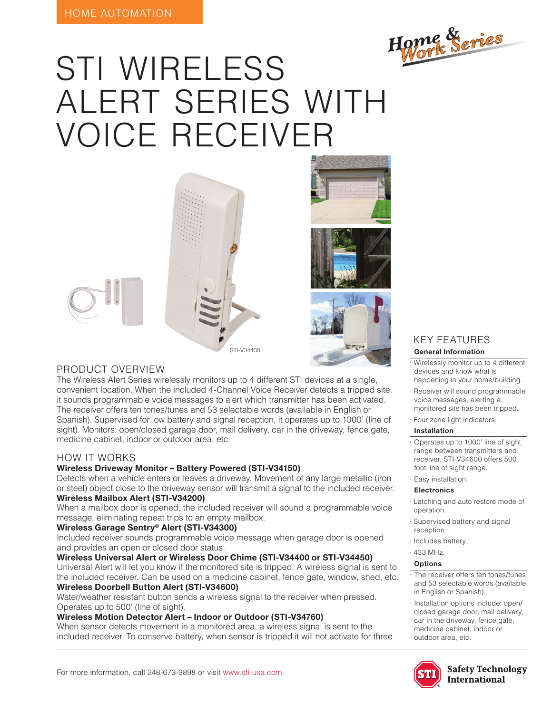

# STI WIRELESS ALERT SERIES WITH VOICE RECEIVER











#### PRODUCT OVERVIEW

The Wireless Alert Series wirelessly monitors up to 4 different STI devices at a single, convenient location. When the included 4-Channel Voice Receiver detects a tripped site, it sounds programmable voice messages to alert which transmitter has been activated. The receiver offers ten tones/tunes and 53 selectable words (available in English or Spanish). Supervised for low battery and signal reception, it operates up to 1000' (line of sight). Monitors: open/closed garage door, mail delivery, car in the driveway, fence gate, medicine cabinet, indoor or outdoor area, etc.

#### HOW IT WORKS

#### **Wireless Driveway Monitor – Battery Powered (STI-V34150)**

Detects when a vehicle enters or leaves a driveway. Movement of any large metallic (iron or steel) object close to the driveway sensor will transmit a signal to the included receiver. **Wireless Mailbox Alert (STI-V34200)**

When a mailbox door is opened, the included receiver will sound a programmable voice message, eliminating repeat trips to an empty mailbox.

#### **Wireless Garage Sentry® Alert (STI-V34300)**

Included receiver sounds programmable voice message when garage door is opened and provides an open or closed door status.

#### **Wireless Universal Alert or Wireless Door Chime (STI-V34400 or STI-V34450)**

Universal Alert will let you know if the monitored site is tripped. A wireless signal is sent to the included receiver. Can be used on a medicine cabinet, fence gate, window, shed, etc.

#### **Wireless Doorbell Button Alert (STI-V34600)**

Water/weather resistant button sends a wireless signal to the receiver when pressed. Operates up to 500' (line of sight).

#### **Wireless Motion Detector Alert – Indoor or Outdoor (STI-V34760)**

When sensor detects movement in a monitored area, a wireless signal is sent to the included receiver. To conserve battery, when sensor is tripped it will not activate for three

### KEY FEATURES

#### **General Information**

- · Wirelessly monitor up to 4 different devices and know what is happening in your home/building.
- · Receiver will sound programmable voice messages, alerting a monitored site has been tripped. mable<br>ped.
- · Four zone light indicators.

#### **Installation**

- · Operates up to 1000' line of sight range between transmitters and receiver. STI-V34600 offers 500 foot line of sight range.
- · Easy installation.

#### **Electronics**

- · Latching and auto restore mode of operation. *Serie Hogar*
- Supervised battery and signal reception.
- · Includes battery.
- · 433 MHz.

#### **Options**

- · The receiver offers ten tones/tunes and 53 selectable words (available in English or Spanish).
- · Installation options include: open/ closed garage door, mail delivery, car in the driveway, fence gate, medicine cabinet, indoor or outdoor area, etc.